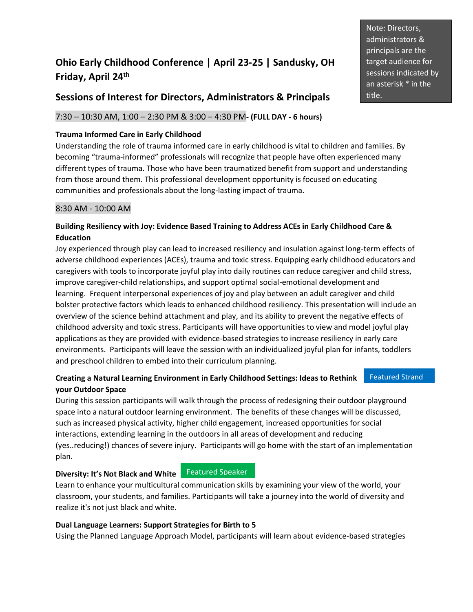# **Ohio Early Childhood Conference | April 23-25 | Sandusky, OH Friday, April 24 th**

### **Sessions of Interest for Directors, Administrators & Principals**

### 7:30 – 10:30 AM, 1:00 – 2:30 PM & 3:00 – 4:30 PM**- (FULL DAY - 6 hours)**

#### **Trauma Informed Care in Early Childhood**

Understanding the role of trauma informed care in early childhood is vital to children and families. By becoming "trauma-informed" professionals will recognize that people have often experienced many different types of trauma. Those who have been traumatized benefit from support and understanding from those around them. This professional development opportunity is focused on educating communities and professionals about the long-lasting impact of trauma.

#### 8:30 AM - 10:00 AM

#### **Building Resiliency with Joy: Evidence Based Training to Address ACEs in Early Childhood Care & Education**

Joy experienced through play can lead to increased resiliency and insulation against long-term effects of adverse childhood experiences (ACEs), trauma and toxic stress. Equipping early childhood educators and caregivers with tools to incorporate joyful play into daily routines can reduce caregiver and child stress, improve caregiver-child relationships, and support optimal social-emotional development and learning. Frequent interpersonal experiences of joy and play between an adult caregiver and child bolster protective factors which leads to enhanced childhood resiliency. This presentation will include an overview of the science behind attachment and play, and its ability to prevent the negative effects of childhood adversity and toxic stress. Participants will have opportunities to view and model joyful play applications as they are provided with evidence-based strategies to increase resiliency in early care environments. Participants will leave the session with an individualized joyful plan for infants, toddlers and preschool children to embed into their curriculum planning.

#### **Creating a Natural Learning Environment in Early Childhood Settings: Ideas to Rethink your Outdoor Space** Featured Strand

During this session participants will walk through the process of redesigning their outdoor playground space into a natural outdoor learning environment. The benefits of these changes will be discussed, such as increased physical activity, higher child engagement, increased opportunities for social interactions, extending learning in the outdoors in all areas of development and reducing (yes..reducing!) chances of severe injury. Participants will go home with the start of an implementation plan.

#### **Diversity: It's Not Black and White**

Featured Speaker

Learn to enhance your multicultural communication skills by examining your view of the world, your classroom, your students, and families. Participants will take a journey into the world of diversity and realize it's not just black and white.

#### **Dual Language Learners: Support Strategies for Birth to 5**

Using the Planned Language Approach Model, participants will learn about evidence-based strategies

Note: Directors, administrators & principals are the target audience for sessions indicated by an asterisk \* in the title.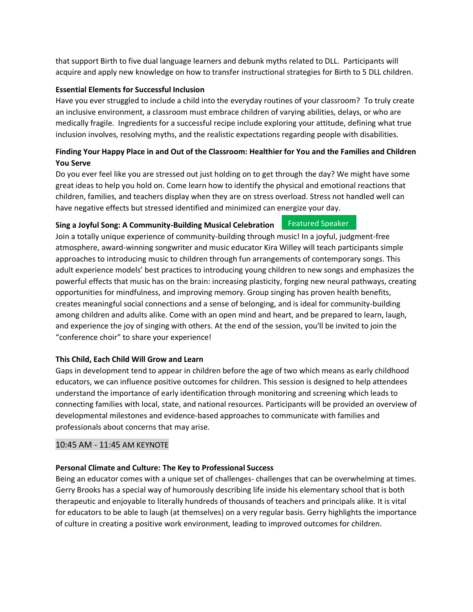that support Birth to five dual language learners and debunk myths related to DLL. Participants will acquire and apply new knowledge on how to transfer instructional strategies for Birth to 5 DLL children.

#### **Essential Elements for Successful Inclusion**

Have you ever struggled to include a child into the everyday routines of your classroom? To truly create an inclusive environment, a classroom must embrace children of varying abilities, delays, or who are medically fragile. Ingredients for a successful recipe include exploring your attitude, defining what true inclusion involves, resolving myths, and the realistic expectations regarding people with disabilities.

#### **Finding Your Happy Place in and Out of the Classroom: Healthier for You and the Families and Children You Serve**

Do you ever feel like you are stressed out just holding on to get through the day? We might have some great ideas to help you hold on. Come learn how to identify the physical and emotional reactions that children, families, and teachers display when they are on stress overload. Stress not handled well can have negative effects but stressed identified and minimized can energize your day.

**Featured Speaker** 

#### **Sing a Joyful Song: A Community-Building Musical Celebration**

Join a totally unique experience of community-building through music! In a joyful, judgment-free atmosphere, award-winning songwriter and music educator Kira Willey will teach participants simple approaches to introducing music to children through fun arrangements of contemporary songs. This adult experience models' best practices to introducing young children to new songs and emphasizes the powerful effects that music has on the brain: increasing plasticity, forging new neural pathways, creating opportunities for mindfulness, and improving memory. Group singing has proven health benefits, creates meaningful social connections and a sense of belonging, and is ideal for community-building among children and adults alike. Come with an open mind and heart, and be prepared to learn, laugh, and experience the joy of singing with others. At the end of the session, you'll be invited to join the "conference choir" to share your experience!

#### **This Child, Each Child Will Grow and Learn**

Gaps in development tend to appear in children before the age of two which means as early childhood educators, we can influence positive outcomes for children. This session is designed to help attendees understand the importance of early identification through monitoring and screening which leads to connecting families with local, state, and national resources. Participants will be provided an overview of developmental milestones and evidence-based approaches to communicate with families and professionals about concerns that may arise.

#### 10:45 AM - 11:45 AM KEYNOTE

#### **Personal Climate and Culture: The Key to Professional Success**

Being an educator comes with a unique set of challenges- challenges that can be overwhelming at times. Gerry Brooks has a special way of humorously describing life inside his elementary school that is both therapeutic and enjoyable to literally hundreds of thousands of teachers and principals alike. It is vital for educators to be able to laugh (at themselves) on a very regular basis. Gerry highlights the importance of culture in creating a positive work environment, leading to improved outcomes for children.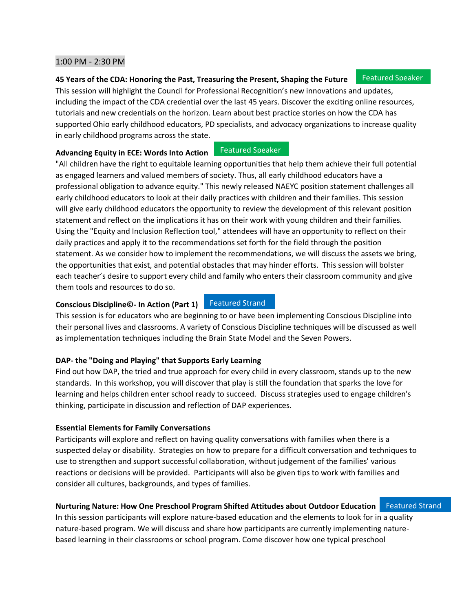#### 1:00 PM - 2:30 PM

#### **45 Years of the CDA: Honoring the Past, Treasuring the Present, Shaping the Future**

This session will highlight the Council for Professional Recognition's new innovations and updates, including the impact of the CDA credential over the last 45 years. Discover the exciting online resources, tutorials and new credentials on the horizon. Learn about best practice stories on how the CDA has supported Ohio early childhood educators, PD specialists, and advocacy organizations to increase quality in early childhood programs across the state.

Featured Speaker

#### **Advancing Equity in ECE: Words Into Action**

"All children have the right to equitable learning opportunities that help them achieve their full potential as engaged learners and valued members of society. Thus, all early childhood educators have a professional obligation to advance equity." This newly released NAEYC position statement challenges all early childhood educators to look at their daily practices with children and their families. This session will give early childhood educators the opportunity to review the development of this relevant position statement and reflect on the implications it has on their work with young children and their families. Using the "Equity and Inclusion Reflection tool," attendees will have an opportunity to reflect on their daily practices and apply it to the recommendations set forth for the field through the position statement. As we consider how to implement the recommendations, we will discuss the assets we bring, the opportunities that exist, and potential obstacles that may hinder efforts. This session will bolster each teacher's desire to support every child and family who enters their classroom community and give them tools and resources to do so.

#### **Conscious Discipline©- In Action (Part 1)**

#### Featured Strand

This session is for educators who are beginning to or have been implementing Conscious Discipline into their personal lives and classrooms. A variety of Conscious Discipline techniques will be discussed as well as implementation techniques including the Brain State Model and the Seven Powers.

#### **DAP- the "Doing and Playing" that Supports Early Learning**

Find out how DAP, the tried and true approach for every child in every classroom, stands up to the new standards. In this workshop, you will discover that play is still the foundation that sparks the love for learning and helps children enter school ready to succeed. Discuss strategies used to engage children's thinking, participate in discussion and reflection of DAP experiences.

#### **Essential Elements for Family Conversations**

Participants will explore and reflect on having quality conversations with families when there is a suspected delay or disability. Strategies on how to prepare for a difficult conversation and techniques to use to strengthen and support successful collaboration, without judgement of the families' various reactions or decisions will be provided. Participants will also be given tips to work with families and consider all cultures, backgrounds, and types of families.

#### **Nurturing Nature: How One Preschool Program Shifted Attitudes about Outdoor Education** Featured Strand

In this session participants will explore nature-based education and the elements to look for in a quality nature-based program. We will discuss and share how participants are currently implementing naturebased learning in their classrooms or school program. Come discover how one typical preschool

#### Featured Speaker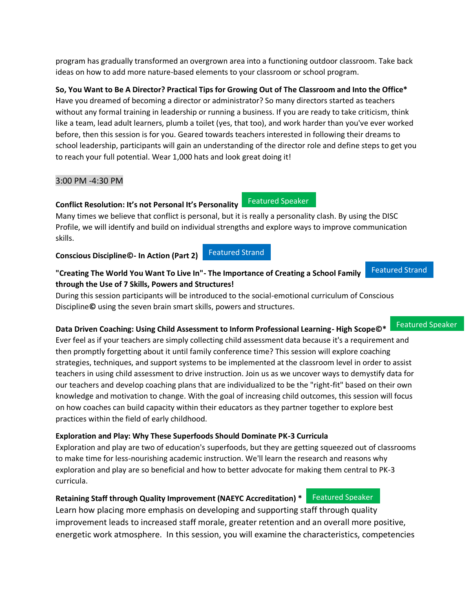program has gradually transformed an overgrown area into a functioning outdoor classroom. Take back ideas on how to add more nature-based elements to your classroom or school program.

**So, You Want to Be A Director? Practical Tips for Growing Out of The Classroom and Into the Office\*** Have you dreamed of becoming a director or administrator? So many directors started as teachers without any formal training in leadership or running a business. If you are ready to take criticism, think like a team, lead adult learners, plumb a toilet (yes, that too), and work harder than you've ever worked before, then this session is for you. Geared towards teachers interested in following their dreams to school leadership, participants will gain an understanding of the director role and define steps to get you to reach your full potential. Wear 1,000 hats and look great doing it!

### 3:00 PM -4:30 PM

### **Conflict Resolution: It's not Personal It's Personality**

Many times we believe that conflict is personal, but it is really a personality clash. By using the DISC Profile, we will identify and build on individual strengths and explore ways to improve communication skills.

### **Conscious Discipline©- In Action (Part 2)**

#### **"Creating The World You Want To Live In"- The Importance of Creating a School Family through the Use of 7 Skills, Powers and Structures!** Featured Strand

Featured Strand

During this session participants will be introduced to the social-emotional curriculum of Conscious Discipline**©** using the seven brain smart skills, powers and structures.

### **Data Driven Coaching: Using Child Assessment to Inform Professional Learning- High Scope©\***

### Featured Speaker

Ever feel as if your teachers are simply collecting child assessment data because it's a requirement and then promptly forgetting about it until family conference time? This session will explore coaching strategies, techniques, and support systems to be implemented at the classroom level in order to assist teachers in using child assessment to drive instruction. Join us as we uncover ways to demystify data for our teachers and develop coaching plans that are individualized to be the "right-fit" based on their own knowledge and motivation to change. With the goal of increasing child outcomes, this session will focus on how coaches can build capacity within their educators as they partner together to explore best practices within the field of early childhood.

## **Exploration and Play: Why These Superfoods Should Dominate PK-3 Curricula**

Exploration and play are two of education's superfoods, but they are getting squeezed out of classrooms to make time for less-nourishing academic instruction. We'll learn the research and reasons why exploration and play are so beneficial and how to better advocate for making them central to PK-3 curricula.

## **Retaining Staff through Quality Improvement (NAEYC Accreditation) \*** Featured Speaker

Learn how placing more emphasis on developing and supporting staff through quality improvement leads to increased staff morale, greater retention and an overall more positive, energetic work atmosphere. In this session, you will examine the characteristics, competencies

Featured Speaker